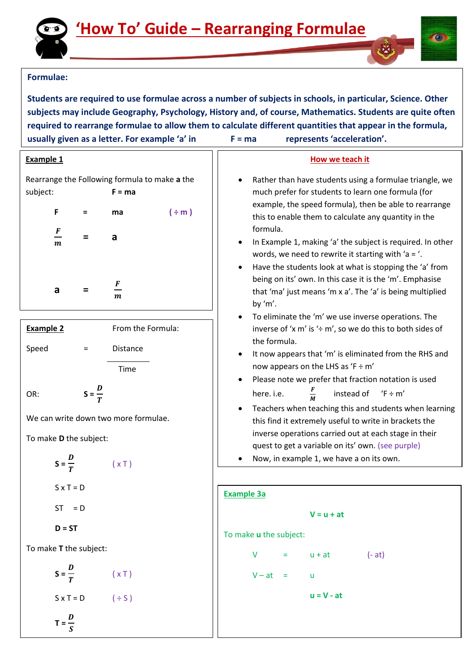

## **Formulae:**

**Students are required to use formulae across a number of subjects in schools, in particular, Science. Other subjects may include Geography, Psychology, History and, of course, Mathematics. Students are quite often required to rearrange formulae to allow them to calculate different quantities that appear in the formula, usually given as a letter. For example 'a' in F = ma represents 'acceleration'.** 

#### **Example 1**

Rearrange the Following formula to make **a** the subject: **F = ma**

| F                   | = | ma                    | $(\div m)$ |
|---------------------|---|-----------------------|------------|
| F<br>–<br>$\pmb{m}$ |   | a                     |            |
|                     |   |                       |            |
| а                   | = | F<br>$\boldsymbol{m}$ |            |

| <b>Example 2</b> | From the Formula: |
|------------------|-------------------|
| Speed            | <b>Distance</b>   |
|                  | Time              |
|                  |                   |

We can write down two more formulae.

T

To make **D** the subject:

$$
S = \frac{D}{T}
$$
  $(xT)$   
\n
$$
S \times T = D
$$
  
\n
$$
ST = D
$$
  
\n
$$
D = ST
$$

To make **T** the subject:

$$
S = \frac{D}{T} \qquad (\times \top)
$$
  

$$
S \times T = D \qquad (\div S)
$$
  

$$
T = \frac{D}{S}
$$

### **How we teach it**

- Rather than have students using a formulae triangle, we much prefer for students to learn one formula (for example, the speed formula), then be able to rearrange this to enable them to calculate any quantity in the formula.
- In Example 1, making 'a' the subject is required. In other words, we need to rewrite it starting with 'a = '.
- Have the students look at what is stopping the 'a' from being on its' own. In this case it is the 'm'. Emphasise that 'ma' just means 'm x a'. The 'a' is being multiplied by 'm'.
- To eliminate the 'm' we use inverse operations. The inverse of 'x m' is ' $\div$  m', so we do this to both sides of the formula.
- It now appears that 'm' is eliminated from the RHS and now appears on the LHS as 'F  $\div$  m'
- Please note we prefer that fraction notation is used here. i.e. F M instead of  $(F \div m)$
- Teachers when teaching this and students when learning this find it extremely useful to write in brackets the inverse operations carried out at each stage in their quest to get a variable on its' own. (see purple)
- Now, in example 1, we have a on its own.

| Example 3a                    |         |
|-------------------------------|---------|
| $V = u + at$                  |         |
| To make <b>u</b> the subject: |         |
| $V = u + at$                  | $(-at)$ |
| $V - at = u$                  |         |
| $u = V - at$                  |         |